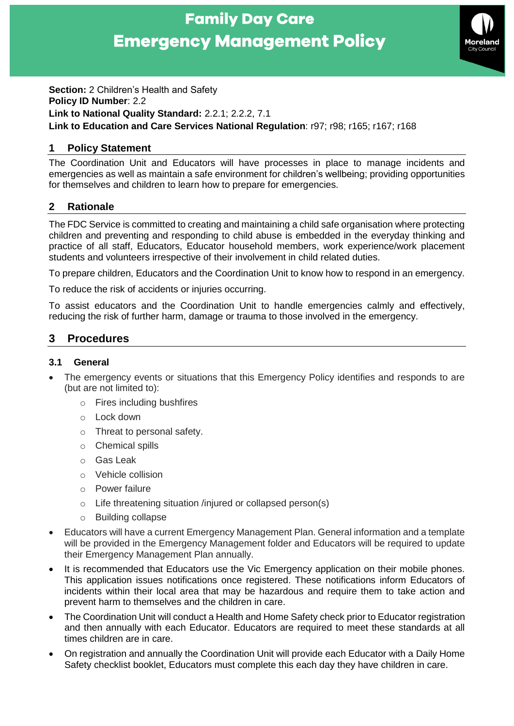# **Family Day Care Emergency Management Policy**



**Section:** 2 Children's Health and Safety **Policy ID Number**: 2.2 **Link to National Quality Standard:** 2.2.1; 2.2.2, 7.1 **Link to Education and Care Services National Regulation**: r97; r98; r165; r167; r168

## **1 Policy Statement**

The Coordination Unit and Educators will have processes in place to manage incidents and emergencies as well as maintain a safe environment for children's wellbeing; providing opportunities for themselves and children to learn how to prepare for emergencies.

# **2 Rationale**

The FDC Service is committed to creating and maintaining a child safe organisation where protecting children and preventing and responding to child abuse is embedded in the everyday thinking and practice of all staff, Educators, Educator household members, work experience/work placement students and volunteers irrespective of their involvement in child related duties.

To prepare children, Educators and the Coordination Unit to know how to respond in an emergency.

To reduce the risk of accidents or injuries occurring.

To assist educators and the Coordination Unit to handle emergencies calmly and effectively, reducing the risk of further harm, damage or trauma to those involved in the emergency.

# **3 Procedures**

#### **3.1 General**

- The emergency events or situations that this Emergency Policy identifies and responds to are (but are not limited to):
	- o Fires including bushfires
	- o Lock down
	- o Threat to personal safety.
	- o Chemical spills
	- o Gas Leak
	- o Vehicle collision
	- o Power failure
	- o Life threatening situation /injured or collapsed person(s)
	- o Building collapse
- Educators will have a current Emergency Management Plan. General information and a template will be provided in the Emergency Management folder and Educators will be required to update their Emergency Management Plan annually.
- It is recommended that Educators use the Vic Emergency application on their mobile phones. This application issues notifications once registered. These notifications inform Educators of incidents within their local area that may be hazardous and require them to take action and prevent harm to themselves and the children in care.
- The Coordination Unit will conduct a Health and Home Safety check prior to Educator registration and then annually with each Educator. Educators are required to meet these standards at all times children are in care.
- On registration and annually the Coordination Unit will provide each Educator with a Daily Home Safety checklist booklet, Educators must complete this each day they have children in care.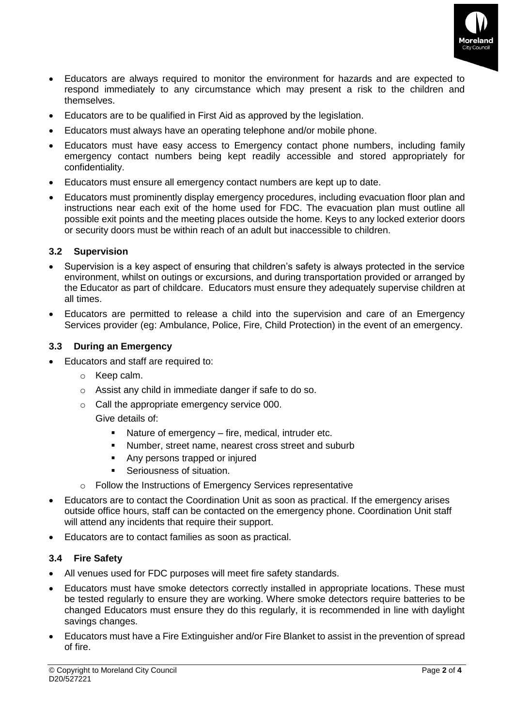

- Educators are always required to monitor the environment for hazards and are expected to respond immediately to any circumstance which may present a risk to the children and themselves.
- Educators are to be qualified in First Aid as approved by the legislation.
- Educators must always have an operating telephone and/or mobile phone.
- Educators must have easy access to Emergency contact phone numbers, including family emergency contact numbers being kept readily accessible and stored appropriately for confidentiality.
- Educators must ensure all emergency contact numbers are kept up to date.
- Educators must prominently display emergency procedures, including evacuation floor plan and instructions near each exit of the home used for FDC. The evacuation plan must outline all possible exit points and the meeting places outside the home. Keys to any locked exterior doors or security doors must be within reach of an adult but inaccessible to children.

## **3.2 Supervision**

- Supervision is a key aspect of ensuring that children's safety is always protected in the service environment, whilst on outings or excursions, and during transportation provided or arranged by the Educator as part of childcare. Educators must ensure they adequately supervise children at all times.
- Educators are permitted to release a child into the supervision and care of an Emergency Services provider (eg: Ambulance, Police, Fire, Child Protection) in the event of an emergency.

#### **3.3 During an Emergency**

- Educators and staff are required to:
	- o Keep calm.
	- o Assist any child in immediate danger if safe to do so.
	- o Call the appropriate emergency service 000.

## Give details of:

- Nature of emergency fire, medical, intruder etc.
- Number, street name, nearest cross street and suburb
- Any persons trapped or injured
- **EXEC** Seriousness of situation.
- o Follow the Instructions of Emergency Services representative
- Educators are to contact the Coordination Unit as soon as practical. If the emergency arises outside office hours, staff can be contacted on the emergency phone. Coordination Unit staff will attend any incidents that require their support.
- Educators are to contact families as soon as practical.

#### **3.4 Fire Safety**

- All venues used for FDC purposes will meet fire safety standards.
- Educators must have smoke detectors correctly installed in appropriate locations. These must be tested regularly to ensure they are working. Where smoke detectors require batteries to be changed Educators must ensure they do this regularly, it is recommended in line with daylight savings changes.
- Educators must have a Fire Extinguisher and/or Fire Blanket to assist in the prevention of spread of fire.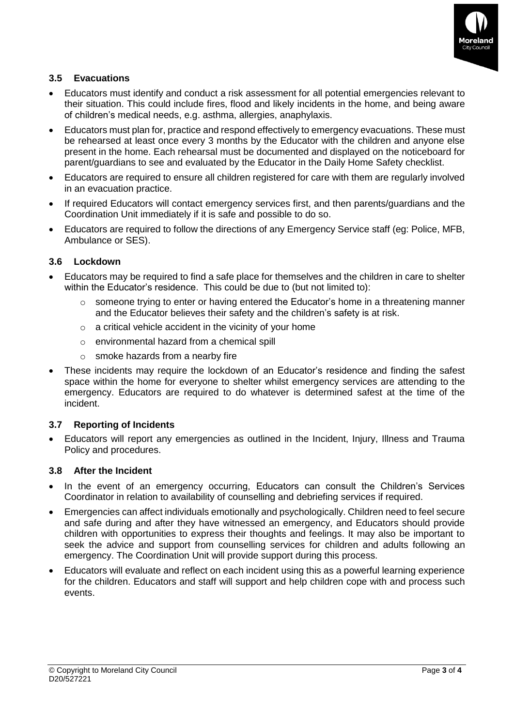

## **3.5 Evacuations**

- Educators must identify and conduct a risk assessment for all potential emergencies relevant to their situation. This could include fires, flood and likely incidents in the home, and being aware of children's medical needs, e.g. asthma, allergies, anaphylaxis.
- Educators must plan for, practice and respond effectively to emergency evacuations. These must be rehearsed at least once every 3 months by the Educator with the children and anyone else present in the home. Each rehearsal must be documented and displayed on the noticeboard for parent/guardians to see and evaluated by the Educator in the Daily Home Safety checklist.
- Educators are required to ensure all children registered for care with them are regularly involved in an evacuation practice.
- If required Educators will contact emergency services first, and then parents/guardians and the Coordination Unit immediately if it is safe and possible to do so.
- Educators are required to follow the directions of any Emergency Service staff (eg: Police, MFB, Ambulance or SES).

#### **3.6 Lockdown**

- Educators may be required to find a safe place for themselves and the children in care to shelter within the Educator's residence. This could be due to (but not limited to):
	- $\circ$  someone trying to enter or having entered the Educator's home in a threatening manner and the Educator believes their safety and the children's safety is at risk.
	- o a critical vehicle accident in the vicinity of your home
	- o environmental hazard from a chemical spill
	- o smoke hazards from a nearby fire
- These incidents may require the lockdown of an Educator's residence and finding the safest space within the home for everyone to shelter whilst emergency services are attending to the emergency. Educators are required to do whatever is determined safest at the time of the incident.

#### **3.7 Reporting of Incidents**

• Educators will report any emergencies as outlined in the Incident, Injury, Illness and Trauma Policy and procedures.

#### **3.8 After the Incident**

- In the event of an emergency occurring, Educators can consult the Children's Services Coordinator in relation to availability of counselling and debriefing services if required.
- Emergencies can affect individuals emotionally and psychologically. Children need to feel secure and safe during and after they have witnessed an emergency, and Educators should provide children with opportunities to express their thoughts and feelings. It may also be important to seek the advice and support from counselling services for children and adults following an emergency. The Coordination Unit will provide support during this process.
- Educators will evaluate and reflect on each incident using this as a powerful learning experience for the children. Educators and staff will support and help children cope with and process such events.